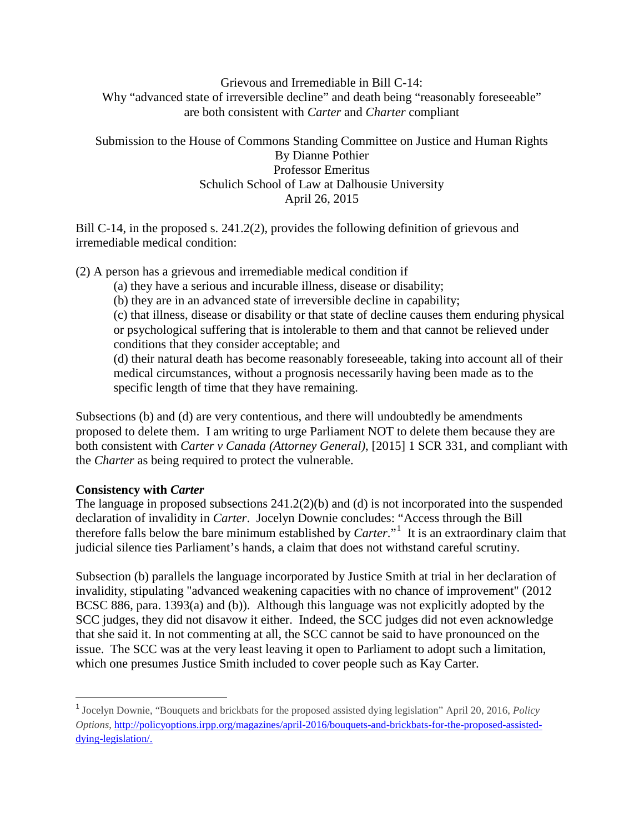## Grievous and Irremediable in Bill C-14: Why "advanced state of irreversible decline" and death being "reasonably foreseeable" are both consistent with *Carter* and *Charter* compliant

Submission to the House of Commons Standing Committee on Justice and Human Rights By Dianne Pothier Professor Emeritus Schulich School of Law at Dalhousie University April 26, 2015

Bill C-14, in the proposed s. 241.2(2), provides the following definition of grievous and irremediable medical condition:

(2) A person has a grievous and irremediable medical condition if

(a) they have a serious and incurable illness, disease or disability;

(b) they are in an advanced state of irreversible decline in capability;

(c) that illness, disease or disability or that state of decline causes them enduring physical or psychological suffering that is intolerable to them and that cannot be relieved under conditions that they consider acceptable; and

(d) their natural death has become reasonably foreseeable, taking into account all of their medical circumstances, without a prognosis necessarily having been made as to the specific length of time that they have remaining.

Subsections (b) and (d) are very contentious, and there will undoubtedly be amendments proposed to delete them. I am writing to urge Parliament NOT to delete them because they are both consistent with *Carter v Canada (Attorney General)*, [2015] 1 SCR 331, and compliant with the *Charter* as being required to protect the vulnerable.

## **Consistency with** *Carter*

The language in proposed subsections 241.2(2)(b) and (d) is not incorporated into the suspended declaration of invalidity in *Carter*. Jocelyn Downie concludes: "Access through the Bill therefore falls below the bare minimum established by *Carter*."[1](#page-0-0) It is an extraordinary claim that judicial silence ties Parliament's hands, a claim that does not withstand careful scrutiny.

Subsection (b) parallels the language incorporated by Justice Smith at trial in her declaration of invalidity, stipulating "advanced weakening capacities with no chance of improvement" (2012 BCSC 886, para. 1393(a) and (b)). Although this language was not explicitly adopted by the SCC judges, they did not disavow it either. Indeed, the SCC judges did not even acknowledge that she said it. In not commenting at all, the SCC cannot be said to have pronounced on the issue. The SCC was at the very least leaving it open to Parliament to adopt such a limitation, which one presumes Justice Smith included to cover people such as Kay Carter.

<span id="page-0-0"></span> <sup>1</sup> Jocelyn Downie, "Bouquets and brickbats for the proposed assisted dying legislation" April 20, 2016, *Policy Options*[, http://policyoptions.irpp.org/magazines/april-2016/bouquets-and-brickbats-for-the-proposed-assisted](http://policyoptions.irpp.org/magazines/april-2016/bouquets-and-brickbats-for-the-proposed-assisted-dying-legislation/)[dying-legislation/.](http://policyoptions.irpp.org/magazines/april-2016/bouquets-and-brickbats-for-the-proposed-assisted-dying-legislation/)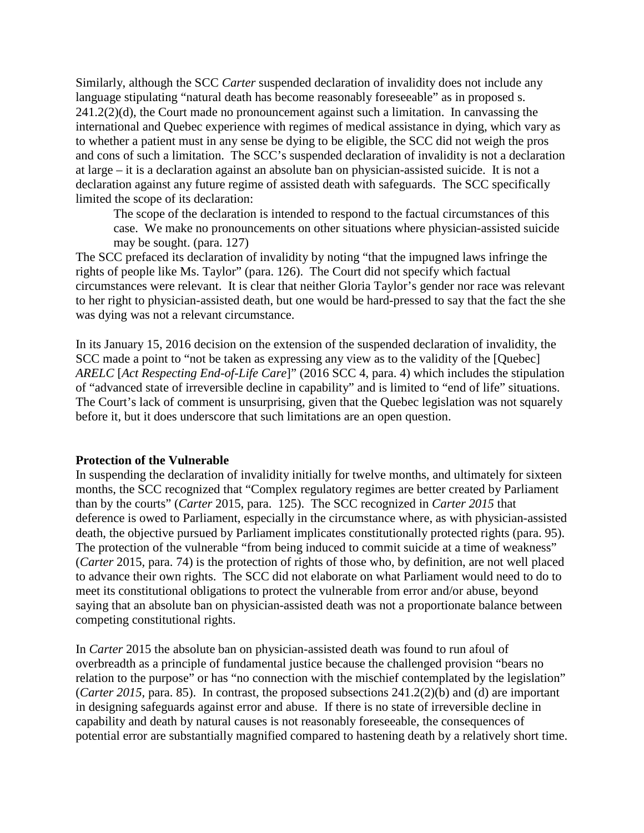Similarly, although the SCC *Carter* suspended declaration of invalidity does not include any language stipulating "natural death has become reasonably foreseeable" as in proposed s.  $241.2(2)(d)$ , the Court made no pronouncement against such a limitation. In canvassing the international and Quebec experience with regimes of medical assistance in dying, which vary as to whether a patient must in any sense be dying to be eligible, the SCC did not weigh the pros and cons of such a limitation. The SCC's suspended declaration of invalidity is not a declaration at large – it is a declaration against an absolute ban on physician-assisted suicide. It is not a declaration against any future regime of assisted death with safeguards. The SCC specifically limited the scope of its declaration:

The scope of the declaration is intended to respond to the factual circumstances of this case. We make no pronouncements on other situations where physician-assisted suicide may be sought. (para. 127)

The SCC prefaced its declaration of invalidity by noting "that the impugned laws infringe the rights of people like Ms. Taylor" (para. 126). The Court did not specify which factual circumstances were relevant. It is clear that neither Gloria Taylor's gender nor race was relevant to her right to physician-assisted death, but one would be hard-pressed to say that the fact the she was dying was not a relevant circumstance.

In its January 15, 2016 decision on the extension of the suspended declaration of invalidity, the SCC made a point to "not be taken as expressing any view as to the validity of the [Quebec] *ARELC* [*Act Respecting End-of-Life Care*]" (2016 SCC 4, para. 4) which includes the stipulation of "advanced state of irreversible decline in capability" and is limited to "end of life" situations. The Court's lack of comment is unsurprising, given that the Quebec legislation was not squarely before it, but it does underscore that such limitations are an open question.

## **Protection of the Vulnerable**

In suspending the declaration of invalidity initially for twelve months, and ultimately for sixteen months, the SCC recognized that "Complex regulatory regimes are better created by Parliament than by the courts" (*Carter* 2015, para. 125). The SCC recognized in *Carter 2015* that deference is owed to Parliament, especially in the circumstance where, as with physician-assisted death, the objective pursued by Parliament implicates constitutionally protected rights (para. 95). The protection of the vulnerable "from being induced to commit suicide at a time of weakness" (*Carter* 2015, para. 74) is the protection of rights of those who, by definition, are not well placed to advance their own rights. The SCC did not elaborate on what Parliament would need to do to meet its constitutional obligations to protect the vulnerable from error and/or abuse, beyond saying that an absolute ban on physician-assisted death was not a proportionate balance between competing constitutional rights.

In *Carter* 2015 the absolute ban on physician-assisted death was found to run afoul of overbreadth as a principle of fundamental justice because the challenged provision "bears no relation to the purpose" or has "no connection with the mischief contemplated by the legislation" (*Carter 2015*, para. 85). In contrast, the proposed subsections 241.2(2)(b) and (d) are important in designing safeguards against error and abuse. If there is no state of irreversible decline in capability and death by natural causes is not reasonably foreseeable, the consequences of potential error are substantially magnified compared to hastening death by a relatively short time.